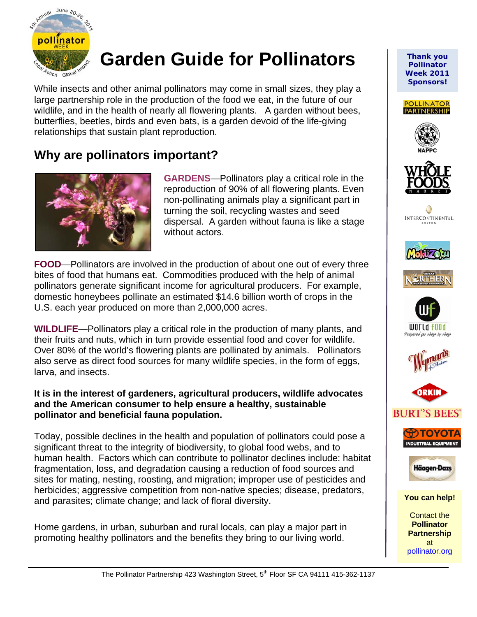

# **Garden Guide for Pollinators**

While insects and other animal pollinators may come in small sizes, they play a large partnership role in the production of the food we eat, in the future of our wildlife, and in the health of nearly all flowering plants. A garden without bees, butterflies, beetles, birds and even bats, is a garden devoid of the life-giving relationships that sustain plant reproduction.

## **Why are pollinators important?**



֦

**GARDENS**—Pollinators play a critical role in the reproduction of 90% of all flowering plants. Even non-pollinating animals play a significant part in turning the soil, recycling wastes and seed dispersal. A garden without fauna is like a stage without actors.

**FOOD**—Pollinators are involved in the production of about one out of every three bites of food that humans eat. Commodities produced with the help of animal pollinators generate significant income for agricultural producers. For example, domestic honeybees pollinate an estimated \$14.6 billion worth of crops in the U.S. each year produced on more than 2,000,000 acres.

**WILDLIFE**—Pollinators play a critical role in the production of many plants, and their fruits and nuts, which in turn provide essential food and cover for wildlife. Over 80% of the world's flowering plants are pollinated by animals. Pollinators also serve as direct food sources for many wildlife species, in the form of eggs, larva, and insects.

#### **It is in the interest of gardeners, agricultural producers, wildlife advocates and the American consumer to help ensure a healthy, sustainable pollinator and beneficial fauna population.**

Today, possible declines in the health and population of pollinators could pose a significant threat to the integrity of biodiversity, to global food webs, and to human health. Factors which can contribute to pollinator declines include: habitat fragmentation, loss, and degradation causing a reduction of food sources and sites for mating, nesting, roosting, and migration; improper use of pesticides and herbicides; aggressive competition from non-native species; disease, predators, and parasites; climate change; and lack of floral diversity.

Home gardens, in urban, suburban and rural locals, can play a major part in promoting healthy pollinators and the benefits they bring to our living world.

*Thank you Pollinator Week 2011 Sponsors!* 























**You can help!** 

Contact the **Pollinator Partnership**  at [pollinator.org](http://www.pollinator.org/)